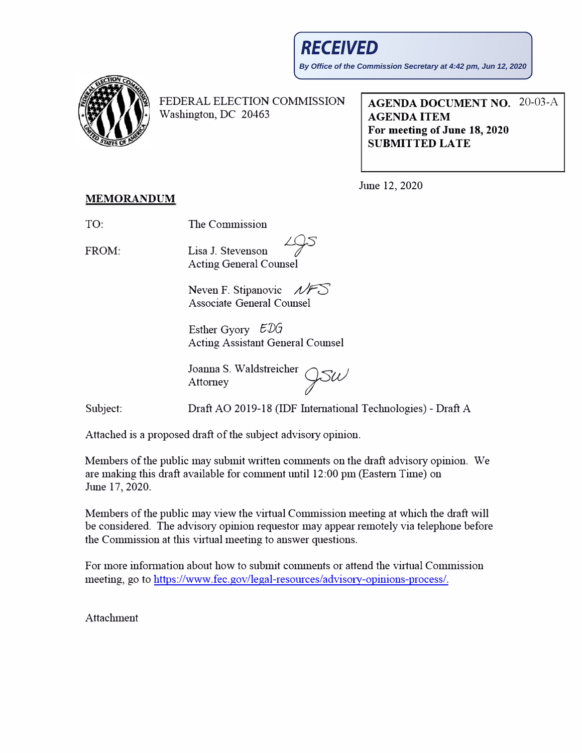

FEDERAL ELECTION COMMISSION Washington, DC 20463

**AGENDA DOCUMENT NO.** 20-03-A **AGENDA ITEM For meeting of June 18, 2020 SUBMITTED LATE**

June 12, 2020

## **MEMORANDUM**

TO: The Commission

FROM: Lisa J. Stevenson *LOs f'* - Acting General Counsel

> Neven F. Stipanovic **A** Associate General Counsel

Esther Gyory  $EDG$ Acting Assistant General Counsel

Joanna S. Waldstreicher<br>Attorney

Subject: Draft AO 2019-18 (IDF International Technologies)- Draft A

Attached is a proposed draft of the subject advisory opinion.

Members of the public may submit written comments on the draft advisory opinion. We are making this draft available for comment until 12:00 pm (Eastern Time) on June 17, 2020.

Members of the public may view the virtual Commission meeting at which the draft will be considered. The advisory opinion requestor may appear remotely via telephone before the Commission at this virtual meeting to answer questions.

For more information about how to submit comments or attend the virtual Commission meeting, go to https://www.fee.gov/legal-resources/advisory-opinions-process/.

Attachment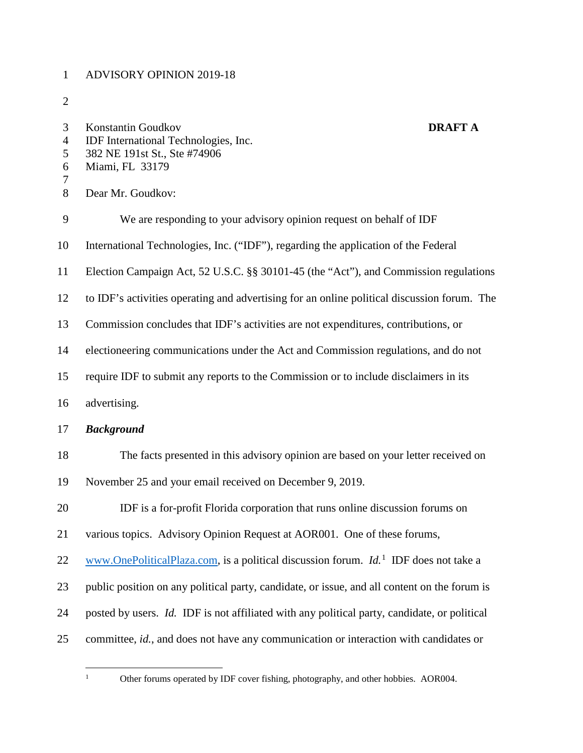## 1 ADVISORY OPINION 2019-18

2

| 3<br>$\overline{4}$<br>5<br>6<br>$\boldsymbol{7}$<br>8 | Konstantin Goudkov<br>IDF International Technologies, Inc.<br>382 NE 191st St., Ste #74906<br>Miami, FL 33179<br>Dear Mr. Goudkov: | <b>DRAFT A</b> |
|--------------------------------------------------------|------------------------------------------------------------------------------------------------------------------------------------|----------------|
| 9                                                      | We are responding to your advisory opinion request on behalf of IDF                                                                |                |
| 10                                                     | International Technologies, Inc. ("IDF"), regarding the application of the Federal                                                 |                |
| 11                                                     | Election Campaign Act, 52 U.S.C. §§ 30101-45 (the "Act"), and Commission regulations                                               |                |
| 12                                                     | to IDF's activities operating and advertising for an online political discussion forum. The                                        |                |
| 13                                                     | Commission concludes that IDF's activities are not expenditures, contributions, or                                                 |                |
| 14                                                     | electioneering communications under the Act and Commission regulations, and do not                                                 |                |
| 15                                                     | require IDF to submit any reports to the Commission or to include disclaimers in its                                               |                |
| 16                                                     | advertising.                                                                                                                       |                |
| 17                                                     | <b>Background</b>                                                                                                                  |                |
| 18                                                     | The facts presented in this advisory opinion are based on your letter received on                                                  |                |
| 19                                                     | November 25 and your email received on December 9, 2019.                                                                           |                |
| 20                                                     | IDF is a for-profit Florida corporation that runs online discussion forums on                                                      |                |
| 21                                                     | various topics. Advisory Opinion Request at AOR001. One of these forums,                                                           |                |
| 22                                                     | www.OnePoliticalPlaza.com, is a political discussion forum. $Id.$ <sup>1</sup> IDF does not take a                                 |                |
| 23                                                     | public position on any political party, candidate, or issue, and all content on the forum is                                       |                |
| 24                                                     | posted by users. <i>Id.</i> IDF is not affiliated with any political party, candidate, or political                                |                |
| 25                                                     | committee, id., and does not have any communication or interaction with candidates or                                              |                |

<sup>&</sup>lt;sup>1</sup> Other forums operated by IDF cover fishing, photography, and other hobbies. AOR004.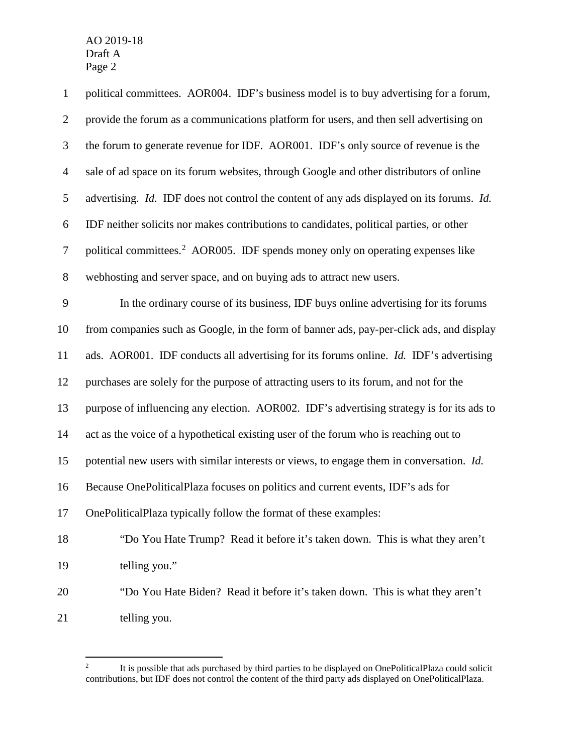AO 2019-18<br>Draft A Draft A Page 2

| $\mathbf{1}$     | political committees. AOR004. IDF's business model is to buy advertising for a forum,         |
|------------------|-----------------------------------------------------------------------------------------------|
| $\overline{2}$   | provide the forum as a communications platform for users, and then sell advertising on        |
| $\mathfrak{Z}$   | the forum to generate revenue for IDF. AOR001. IDF's only source of revenue is the            |
| $\overline{4}$   | sale of ad space on its forum websites, through Google and other distributors of online       |
| 5                | advertising. Id. IDF does not control the content of any ads displayed on its forums. Id.     |
| 6                | IDF neither solicits nor makes contributions to candidates, political parties, or other       |
| $\boldsymbol{7}$ | political committees. <sup>2</sup> AOR005. IDF spends money only on operating expenses like   |
| $8\,$            | webhosting and server space, and on buying ads to attract new users.                          |
| 9                | In the ordinary course of its business, IDF buys online advertising for its forums            |
| 10               | from companies such as Google, in the form of banner ads, pay-per-click ads, and display      |
| 11               | ads. AOR001. IDF conducts all advertising for its forums online. <i>Id.</i> IDF's advertising |
| 12               | purchases are solely for the purpose of attracting users to its forum, and not for the        |
| 13               | purpose of influencing any election. AOR002. IDF's advertising strategy is for its ads to     |
| 14               | act as the voice of a hypothetical existing user of the forum who is reaching out to          |
| 15               | potential new users with similar interests or views, to engage them in conversation. Id.      |
| 16               | Because OnePoliticalPlaza focuses on politics and current events, IDF's ads for               |
| 17               | OnePoliticalPlaza typically follow the format of these examples:                              |
| 18               | "Do You Hate Trump? Read it before it's taken down. This is what they aren't                  |
| 19               | telling you."                                                                                 |
| 20               | "Do You Hate Biden? Read it before it's taken down. This is what they aren't                  |
| 21               | telling you.                                                                                  |

 $\overline{a}$  contributions, but IDF does not control the content of the third party ads displayed on OnePoliticalPlaza. 2 It is possible that ads purchased by third parties to be displayed on OnePoliticalPlaza could solicit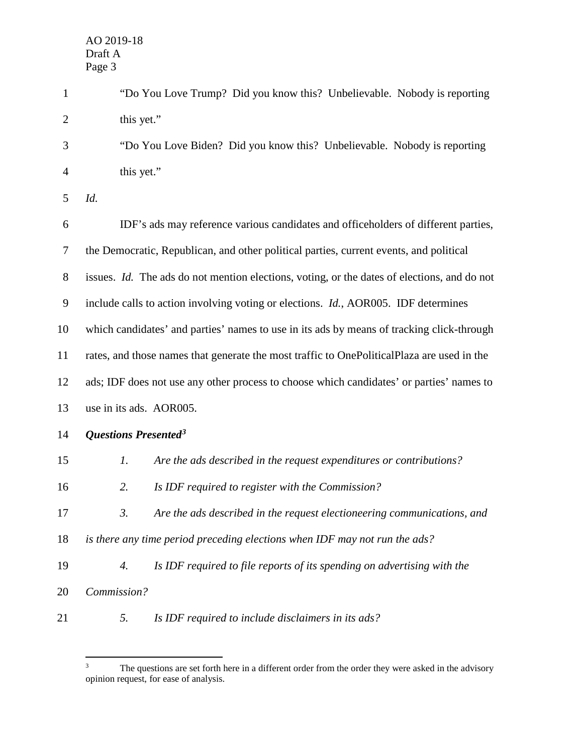-

| $\mathbf{1}$   | "Do You Love Trump? Did you know this? Unbelievable. Nobody is reporting                    |
|----------------|---------------------------------------------------------------------------------------------|
| $\overline{2}$ | this yet."                                                                                  |
| 3              | "Do You Love Biden? Did you know this? Unbelievable. Nobody is reporting                    |
| 4              | this yet."                                                                                  |
| 5              | Id.                                                                                         |
| 6              | IDF's ads may reference various candidates and officeholders of different parties,          |
| $\tau$         | the Democratic, Republican, and other political parties, current events, and political      |
| $8\,$          | issues. Id. The ads do not mention elections, voting, or the dates of elections, and do not |
| 9              | include calls to action involving voting or elections. <i>Id.</i> , AOR005. IDF determines  |
| 10             | which candidates' and parties' names to use in its ads by means of tracking click-through   |
| 11             | rates, and those names that generate the most traffic to OnePoliticalPlaza are used in the  |
| 12             | ads; IDF does not use any other process to choose which candidates' or parties' names to    |
| 13             | use in its ads. AOR005.                                                                     |
| 14             | Questions Presented <sup>3</sup>                                                            |
| 15             | 1.<br>Are the ads described in the request expenditures or contributions?                   |
| 16             | 2.<br>Is IDF required to register with the Commission?                                      |
| 17             | 3.<br>Are the ads described in the request electioneering communications, and               |
| 18             | is there any time period preceding elections when IDF may not run the ads?                  |
| 19             | 4.<br>Is IDF required to file reports of its spending on advertising with the               |
| 20             | Commission?                                                                                 |
| 21             | Is IDF required to include disclaimers in its ads?<br>5.                                    |

The questions are set forth here in a different order from the order they were asked in the advisory opinion request, for ease of analysis.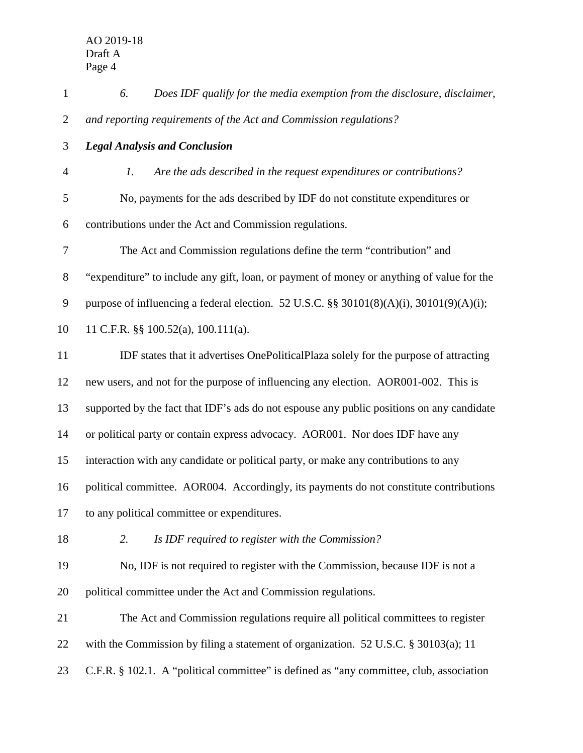| $\mathbf{1}$     | Does IDF qualify for the media exemption from the disclosure, disclaimer,<br>6.           |
|------------------|-------------------------------------------------------------------------------------------|
| $\overline{2}$   | and reporting requirements of the Act and Commission regulations?                         |
| 3                | <b>Legal Analysis and Conclusion</b>                                                      |
| $\overline{4}$   | Are the ads described in the request expenditures or contributions?<br>1.                 |
| 5                | No, payments for the ads described by IDF do not constitute expenditures or               |
| 6                | contributions under the Act and Commission regulations.                                   |
| $\boldsymbol{7}$ | The Act and Commission regulations define the term "contribution" and                     |
| 8                | "expenditure" to include any gift, loan, or payment of money or anything of value for the |
| 9                | purpose of influencing a federal election. 52 U.S.C. §§ 30101(8)(A)(i), 30101(9)(A)(i);   |
| 10               | 11 C.F.R. $\S$ 100.52(a), 100.111(a).                                                     |
| 11               | IDF states that it advertises OnePoliticalPlaza solely for the purpose of attracting      |
| 12               | new users, and not for the purpose of influencing any election. AOR001-002. This is       |
| 13               | supported by the fact that IDF's ads do not espouse any public positions on any candidate |
| 14               | or political party or contain express advocacy. AOR001. Nor does IDF have any             |
| 15               | interaction with any candidate or political party, or make any contributions to any       |
| 16               | political committee. AOR004. Accordingly, its payments do not constitute contributions    |
| 17               | to any political committee or expenditures.                                               |
| 18               | 2.<br>Is IDF required to register with the Commission?                                    |
| 19               | No, IDF is not required to register with the Commission, because IDF is not a             |
| 20               | political committee under the Act and Commission regulations.                             |
| 21               | The Act and Commission regulations require all political committees to register           |
| 22               | with the Commission by filing a statement of organization. $52$ U.S.C. § 30103(a); 11     |
| 23               | C.F.R. § 102.1. A "political committee" is defined as "any committee, club, association   |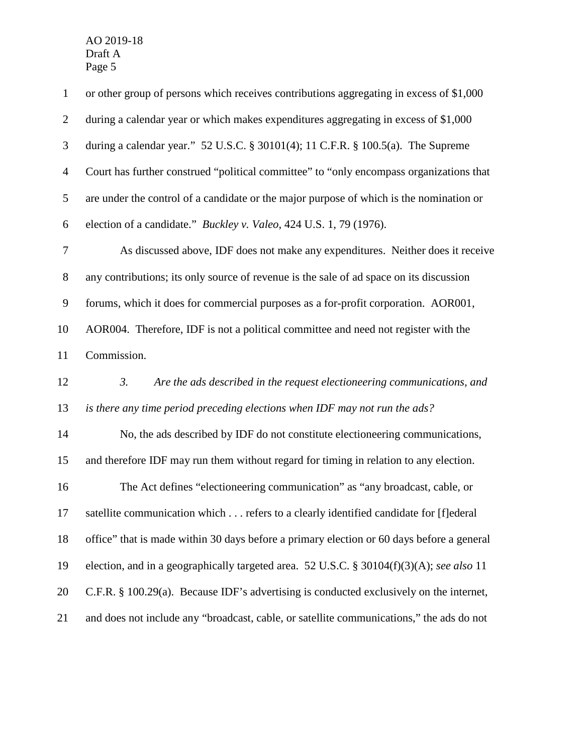AO 2019-18 AO 2019-18<br>Draft A Page 5

| $\mathbf{1}$   | or other group of persons which receives contributions aggregating in excess of \$1,000   |
|----------------|-------------------------------------------------------------------------------------------|
| $\overline{2}$ | during a calendar year or which makes expenditures aggregating in excess of \$1,000       |
| 3              | during a calendar year." 52 U.S.C. § 30101(4); 11 C.F.R. § 100.5(a). The Supreme          |
| $\overline{4}$ | Court has further construed "political committee" to "only encompass organizations that   |
| $\mathfrak{S}$ | are under the control of a candidate or the major purpose of which is the nomination or   |
| 6              | election of a candidate." Buckley v. Valeo, 424 U.S. 1, 79 (1976).                        |
| $\tau$         | As discussed above, IDF does not make any expenditures. Neither does it receive           |
| $8\,$          | any contributions; its only source of revenue is the sale of ad space on its discussion   |
| 9              | forums, which it does for commercial purposes as a for-profit corporation. AOR001,        |
| 10             | AOR004. Therefore, IDF is not a political committee and need not register with the        |
| 11             | Commission.                                                                               |
| 12             | 3.<br>Are the ads described in the request electioneering communications, and             |
| 13             | is there any time period preceding elections when IDF may not run the ads?                |
| 14             | No, the ads described by IDF do not constitute electioneering communications,             |
| 15             | and therefore IDF may run them without regard for timing in relation to any election.     |
| 16             | The Act defines "electioneering communication" as "any broadcast, cable, or               |
| 17             | satellite communication which refers to a clearly identified candidate for [f]ederal      |
| 18             | office" that is made within 30 days before a primary election or 60 days before a general |
| 19             | election, and in a geographically targeted area. 52 U.S.C. § 30104(f)(3)(A); see also 11  |
| 20             | C.F.R. § 100.29(a). Because IDF's advertising is conducted exclusively on the internet,   |
| 21             | and does not include any "broadcast, cable, or satellite communications," the ads do not  |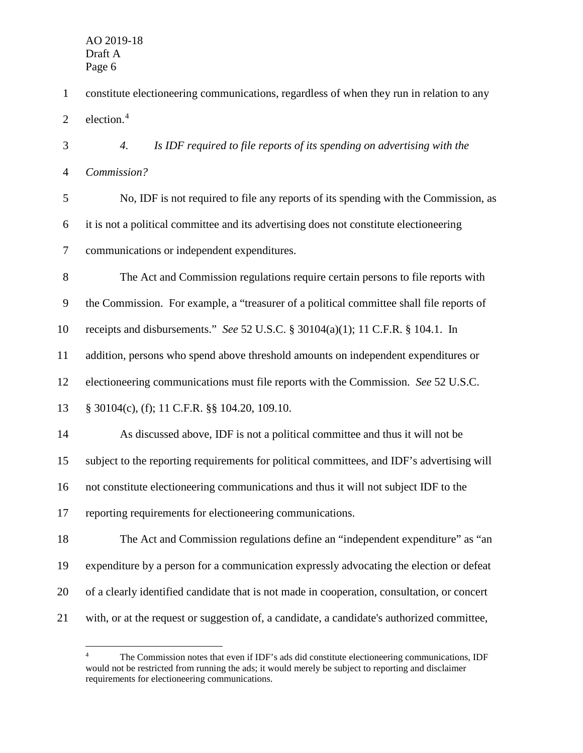- 1 constitute electioneering communications, regardless of when they run in relation to any 2 election.<sup>4</sup>
- 3 *4. Is IDF required to file reports of its spending on advertising with the*  4 *Commission?*
- 5 No, IDF is not required to file any reports of its spending with the Commission, as 6 it is not a political committee and its advertising does not constitute electioneering 7 communications or independent expenditures.
- 8 The Act and Commission regulations require certain persons to file reports with
- 9 the Commission. For example, a "treasurer of a political committee shall file reports of
- 10 receipts and disbursements." *See* 52 U.S.C. § 30104(a)(1); 11 C.F.R. § 104.1. In
- 11 addition, persons who spend above threshold amounts on independent expenditures or
- 12 electioneering communications must file reports with the Commission. *See* 52 U.S.C.
- 13 § 30104(c), (f); 11 C.F.R. §§ 104.20, 109.10.
- 14 As discussed above, IDF is not a political committee and thus it will not be 15 subject to the reporting requirements for political committees, and IDF's advertising will 16 not constitute electioneering communications and thus it will not subject IDF to the 17 reporting requirements for electioneering communications.
- 18 The Act and Commission regulations define an "independent expenditure" as "an 19 expenditure by a person for a communication expressly advocating the election or defeat 20 of a clearly identified candidate that is not made in cooperation, consultation, or concert 21 with, or at the request or suggestion of, a candidate, a candidate's authorized committee,

<sup>&</sup>lt;u>.</u> 4 The Commission notes that even if IDF's ads did constitute electioneering communications, IDF would not be restricted from running the ads; it would merely be subject to reporting and disclaimer requirements for electioneering communications.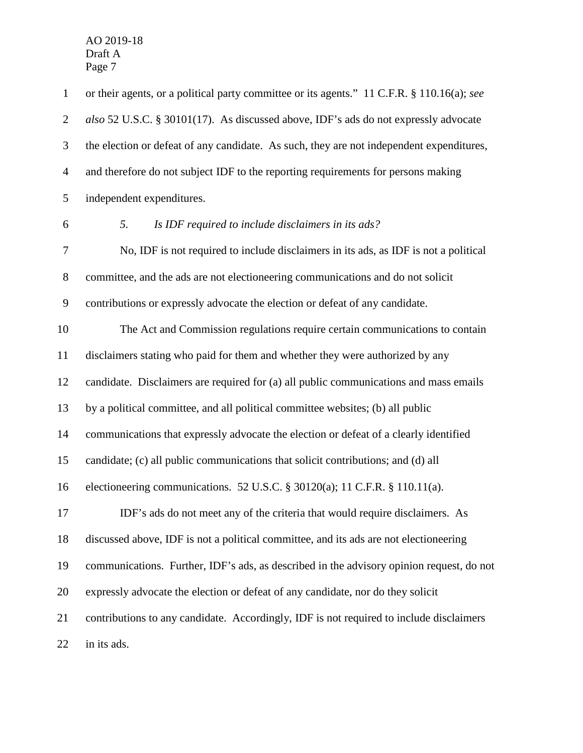AO 2019-18<br>Draft A Draft A Page 7

 *also* 52 U.S.C. § 30101(17). As discussed above, IDF's ads do not expressly advocate the election or defeat of any candidate. As such, they are not independent expenditures, and therefore do not subject IDF to the reporting requirements for persons making disclaimers stating who paid for them and whether they were authorized by any electioneering communications. 52 U.S.C. § 30120(a); 11 C.F.R. § 110.11(a). IDF's ads do not meet any of the criteria that would require disclaimers. As 1 2 3 4 5 6 7 8 9 10 11 12 13 14 15 16 17 18 19 20 21 22 or their agents, or a political party committee or its agents." 11 C.F.R. § 110.16(a); *see*  independent expenditures. *5. Is IDF required to include disclaimers in its ads?*  No, IDF is not required to include disclaimers in its ads, as IDF is not a political committee, and the ads are not electioneering communications and do not solicit contributions or expressly advocate the election or defeat of any candidate. The Act and Commission regulations require certain communications to contain candidate. Disclaimers are required for (a) all public communications and mass emails by a political committee, and all political committee websites; (b) all public communications that expressly advocate the election or defeat of a clearly identified candidate; (c) all public communications that solicit contributions; and (d) all discussed above, IDF is not a political committee, and its ads are not electioneering communications. Further, IDF's ads, as described in the advisory opinion request, do not expressly advocate the election or defeat of any candidate, nor do they solicit contributions to any candidate. Accordingly, IDF is not required to include disclaimers in its ads.